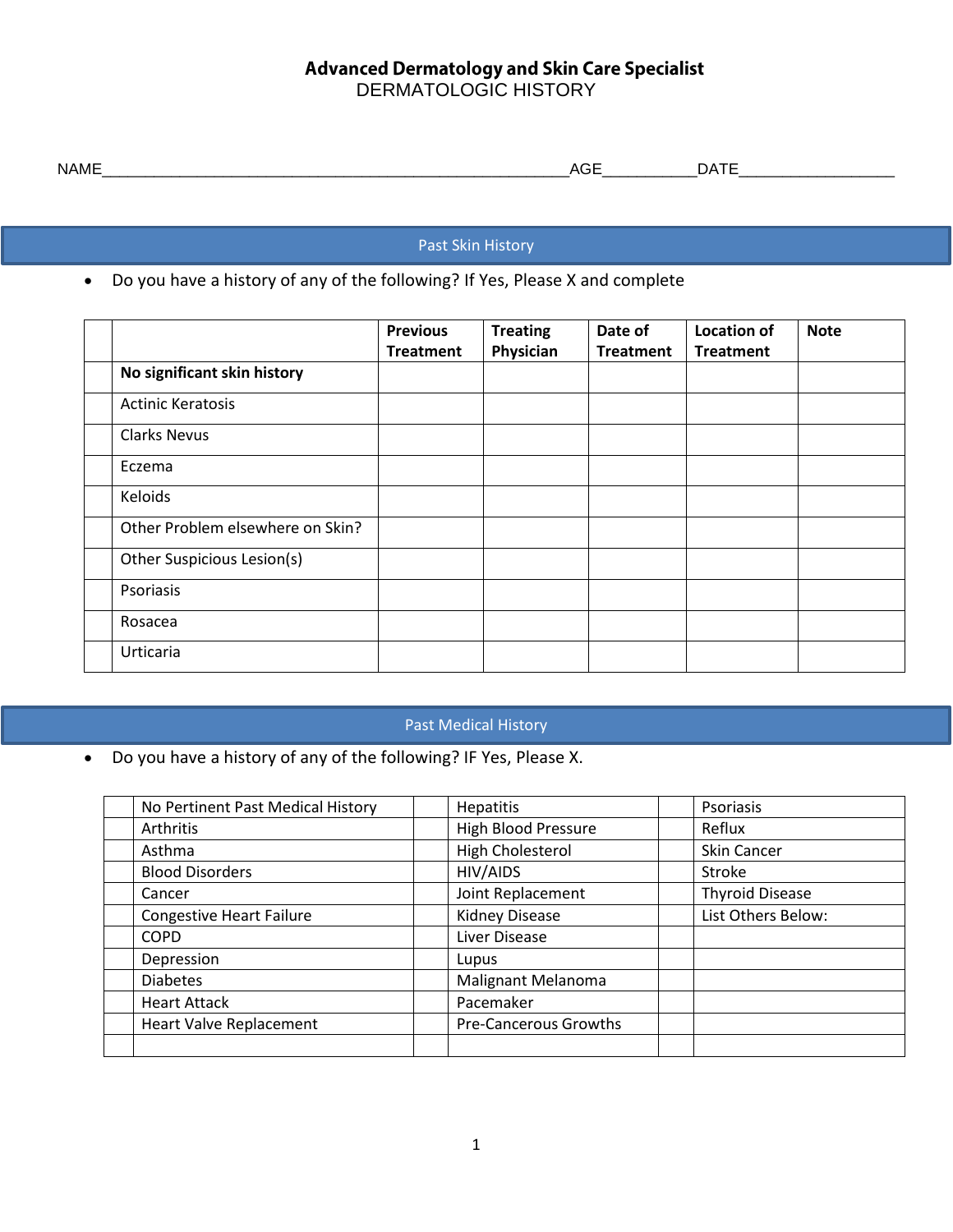## **Advanced Dermatology and Skin Care Specialist** DERMATOLOGIC HISTORY

| . . <b>. .</b><br><b>NAME</b><br>$\sim$ $\sim$<br>AGE<br>ĴА<br>$\sim$<br>_________ |
|------------------------------------------------------------------------------------|
|------------------------------------------------------------------------------------|

Past Skin History

• Do you have a history of any of the following? If Yes, Please X and complete

|                                  | <b>Previous</b><br><b>Treatment</b> | <b>Treating</b><br>Physician | Date of<br><b>Treatment</b> | <b>Location of</b><br><b>Treatment</b> | <b>Note</b> |
|----------------------------------|-------------------------------------|------------------------------|-----------------------------|----------------------------------------|-------------|
| No significant skin history      |                                     |                              |                             |                                        |             |
| <b>Actinic Keratosis</b>         |                                     |                              |                             |                                        |             |
| <b>Clarks Nevus</b>              |                                     |                              |                             |                                        |             |
| Eczema                           |                                     |                              |                             |                                        |             |
| Keloids                          |                                     |                              |                             |                                        |             |
| Other Problem elsewhere on Skin? |                                     |                              |                             |                                        |             |
| Other Suspicious Lesion(s)       |                                     |                              |                             |                                        |             |
| Psoriasis                        |                                     |                              |                             |                                        |             |
| Rosacea                          |                                     |                              |                             |                                        |             |
| Urticaria                        |                                     |                              |                             |                                        |             |

# Past Me Past Medical History Past Medical History

 $\bullet$  Do you have a history of any of the following? IF Yes, Please X.

| No Pertinent Past Medical History | <b>Hepatitis</b>           | Psoriasis              |
|-----------------------------------|----------------------------|------------------------|
| Arthritis                         | <b>High Blood Pressure</b> | Reflux                 |
| Asthma                            | High Cholesterol           | <b>Skin Cancer</b>     |
| <b>Blood Disorders</b>            | HIV/AIDS                   | Stroke                 |
| Cancer                            | Joint Replacement          | <b>Thyroid Disease</b> |
| <b>Congestive Heart Failure</b>   | <b>Kidney Disease</b>      | List Others Below:     |
| <b>COPD</b>                       | Liver Disease              |                        |
| Depression                        | Lupus                      |                        |
| <b>Diabetes</b>                   | Malignant Melanoma         |                        |
| <b>Heart Attack</b>               | Pacemaker                  |                        |
| <b>Heart Valve Replacement</b>    | Pre-Cancerous Growths      |                        |
|                                   |                            |                        |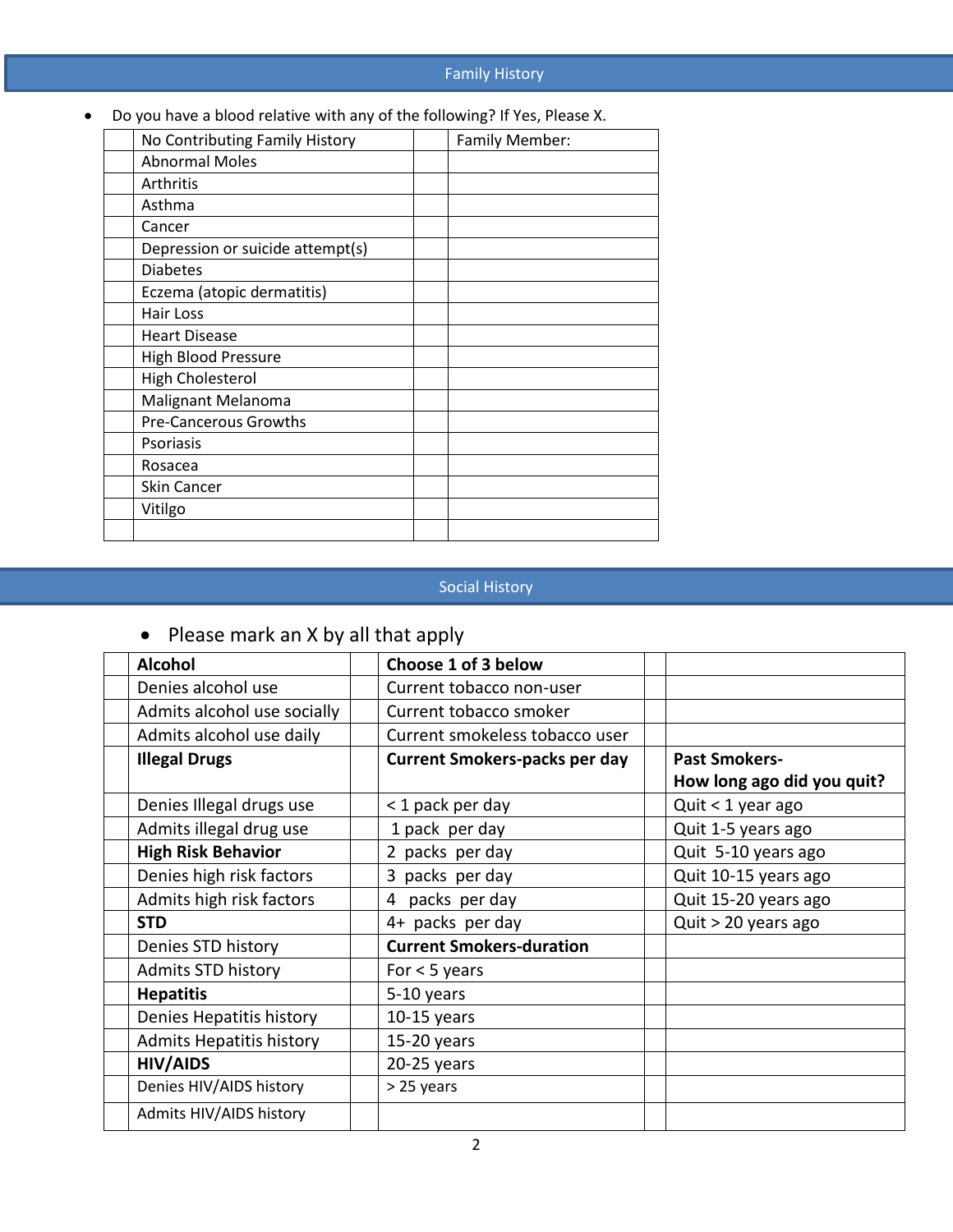## Family History

Do you have a blood relative with any of the following? If Yes, Please X.

| No Contributing Family History   | Family Member: |
|----------------------------------|----------------|
| <b>Abnormal Moles</b>            |                |
| Arthritis                        |                |
| Asthma                           |                |
| Cancer                           |                |
| Depression or suicide attempt(s) |                |
| <b>Diabetes</b>                  |                |
| Eczema (atopic dermatitis)       |                |
| Hair Loss                        |                |
| <b>Heart Disease</b>             |                |
| High Blood Pressure              |                |
| High Cholesterol                 |                |
| <b>Malignant Melanoma</b>        |                |
| Pre-Cancerous Growths            |                |
| Psoriasis                        |                |
| Rosacea                          |                |
| Skin Cancer                      |                |
| Vitilgo                          |                |
|                                  |                |

#### Social History

# • Please mark an X by all that apply

| <b>Alcohol</b>                  | Choose 1 of 3 below                  |                            |
|---------------------------------|--------------------------------------|----------------------------|
| Denies alcohol use              | Current tobacco non-user             |                            |
| Admits alcohol use socially     | Current tobacco smoker               |                            |
| Admits alcohol use daily        | Current smokeless tobacco user       |                            |
| <b>Illegal Drugs</b>            | <b>Current Smokers-packs per day</b> | <b>Past Smokers-</b>       |
|                                 |                                      | How long ago did you quit? |
| Denies Illegal drugs use        | < 1 pack per day                     | Quit < 1 year ago          |
| Admits illegal drug use         | 1 pack per day                       | Quit 1-5 years ago         |
| <b>High Risk Behavior</b>       | 2 packs per day                      | Quit 5-10 years ago        |
| Denies high risk factors        | 3 packs per day                      | Quit 10-15 years ago       |
| Admits high risk factors        | 4 packs per day                      | Quit 15-20 years ago       |
| <b>STD</b>                      | 4+ packs per day                     | Quit > 20 years ago        |
| Denies STD history              | <b>Current Smokers-duration</b>      |                            |
| <b>Admits STD history</b>       | For $<$ 5 years                      |                            |
| <b>Hepatitis</b>                | 5-10 years                           |                            |
| Denies Hepatitis history        | $10-15$ years                        |                            |
| <b>Admits Hepatitis history</b> | 15-20 years                          |                            |
| <b>HIV/AIDS</b>                 | $20-25$ years                        |                            |
| Denies HIV/AIDS history         | > 25 years                           |                            |
| Admits HIV/AIDS history         |                                      |                            |